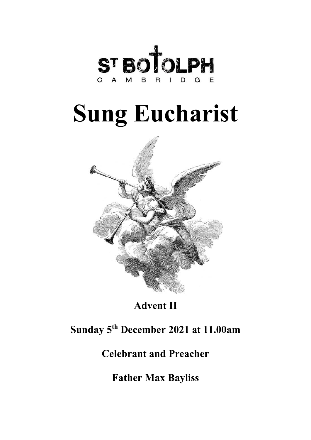

# **Sung Eucharist**



**Advent II**

# **Sunday 5th December 2021 at 11.00am**

# **Celebrant and Preacher**

**Father Max Bayliss**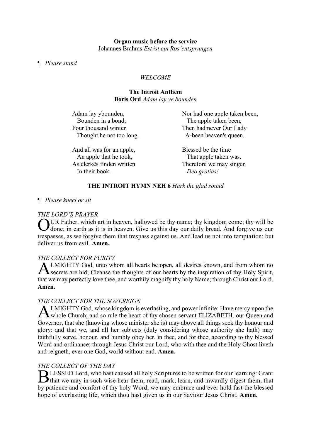#### ¶ *Please stand*

# *WELCOME*

#### **The Introit Anthem Boris Ord** *Adam lay ye bounden*

| Adam lay ybounden,       | Nor had one apple taken been, |
|--------------------------|-------------------------------|
| Bounden in a bond;       | The apple taken been,         |
| Four thousand winter     | Then had never Our Lady       |
| Thought he not too long. | A-been heaven's queen.        |
| $\lambda$ 1 11 $\alpha$  | 1111                          |

And all was for an apple, An apple that he took, As clerkës finden written In their book.

Blessed be the time That apple taken was. Therefore we may singen  *Deo gratias!*

# **THE INTROIT HYMN NEH 6** *Hark the glad sound*

# ¶ *Please kneel or sit*

# *THE LORD'S PRAYER*

OUR Father, which art in heaven, hallowed be thy name; thy kingdom come; thy will be done; in earth as it is in heaven. Give us this day our daily bread. And forgive us our done; in earth as it is in heaven. Give us this day our daily bread. And forgive us our trespasses, as we forgive them that trespass against us. And lead us not into temptation; but deliver us from evil. **Amen.**

# *THE COLLECT FOR PURITY*

LMIGHTY God, unto whom all hearts be open, all desires known, and from whom no **ALMIGHTY God, unto whom all hearts be open, all desires known, and from whom no** secrets are hid; Cleanse the thoughts of our hearts by the inspiration of thy Holy Spirit, that we may perfectly love thee, and worthily magnify thy holy Name; through Christ our Lord. **Amen.** 

# *THE COLLECT FOR THE SOVEREIGN*

LMIGHTY God, whose kingdom is everlasting, and power infinite: Have mercy upon the A LMIGHTY God, whose kingdom is everlasting, and power infinite: Have mercy upon the whole Church; and so rule the heart of thy chosen servant ELIZABETH, our Queen and Governor, that she (knowing whose minister she is) may above all things seek thy honour and glory: and that we, and all her subjects (duly considering whose authority she hath) may faithfully serve, honour, and humbly obey her, in thee, and for thee, according to thy blessed Word and ordinance; through Jesus Christ our Lord, who with thee and the Holy Ghost liveth and reigneth, ever one God, world without end. **Amen.**

# *THE COLLECT OF THE DAY*

BLESSED Lord, who hast caused all holy Scriptures to be written for our learning: Grant that we may in such wise hear them, read, mark, learn, and inwardly digest them, that If that we may in such wise hear them, read, mark, learn, and inwardly digest them, that by patience and comfort of thy holy Word, we may embrace and ever hold fast the blessed hope of everlasting life, which thou hast given us in our Saviour Jesus Christ. **Amen.**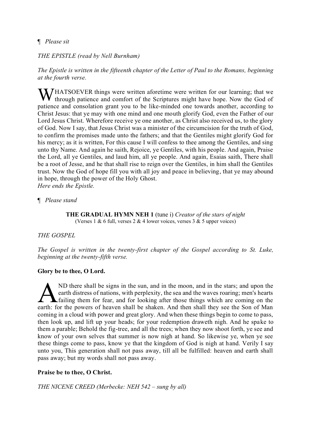# ¶ *Please sit*

*THE EPISTLE (read by Nell Burnham)*

*The Epistle is written in the fifteenth chapter of the Letter of Paul to the Romans, beginning at the fourth verse.*

WHATSOEVER things were written aforetime were written for our learning; that we through patience and comfort of the Scriptures might have hope. Now the God of through patience and comfort of the Scriptures might have hope. Now the God of patience and consolation grant you to be like-minded one towards another, according to Christ Jesus: that ye may with one mind and one mouth glorify God, even the Father of our Lord Jesus Christ. Wherefore receive ye one another, as Christ also received us, to the glory of God. Now I say, that Jesus Christ was a minister of the circumcision for the truth of God, to confirm the promises made unto the fathers; and that the Gentiles might glorify God for his mercy; as it is written, For this cause I will confess to thee among the Gentiles, and sing unto thy Name. And again he saith, Rejoice, ye Gentiles, with his people. And again, Praise the Lord, all ye Gentiles, and laud him, all ye people. And again, Esaias saith, There shall be a root of Jesse, and he that shall rise to reign over the Gentiles, in him shall the Gentiles trust. Now the God of hope fill you with all joy and peace in believing, that ye may abound in hope, through the power of the Holy Ghost.

*Here ends the Epistle.*

¶ *Please stand*

**THE GRADUAL HYMN NEH 1** (tune i) *Creator of the stars of night* (Verses 1 & 6 full, verses 2 & 4 lower voices, verses 3 & 5 upper voices)

*THE GOSPEL*

*The Gospel is written in the twenty-first chapter of the Gospel according to St. Luke, beginning at the twenty-fifth verse.*

# **Glory be to thee, O Lord.**

ND there shall be signs in the sun, and in the moon, and in the stars; and upon the earth distress of nations, with perplexity, the sea and the waves roaring; men's hearts **A** failing them for fear, and for looking after those things which are coming on the A ND there shall be signs in the sun, and in the moon, and in the stars; and upon the earth distress of nations, with perplexity, the sea and the waves roaring; men's hearts failing them for fear, and for looking after tho coming in a cloud with power and great glory. And when these things begin to come to pass, then look up, and lift up your heads; for your redemption draweth nigh. And he spake to them a parable; Behold the fig-tree, and all the trees; when they now shoot forth, ye see and know of your own selves that summer is now nigh at hand. So likewise ye, when ye see these things come to pass, know ye that the kingdom of God is nigh at hand. Verily I say unto you, This generation shall not pass away, till all be fulfilled: heaven and earth shall pass away; but my words shall not pass away.

# **Praise be to thee, O Christ.**

*THE NICENE CREED (Merbecke: NEH 542 – sung by all)*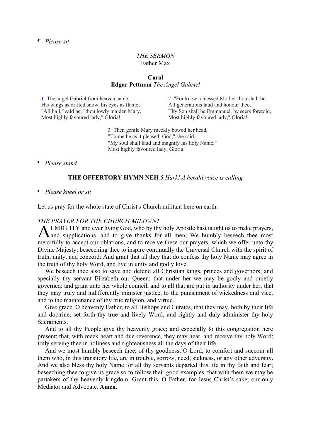#### *THE SERMON* Father Max

#### **Carol Edgar Pettman** *The Angel Gabriel*

1 The angel Gabriel from heaven came, His wings as drifted snow, his eyes as flame; "All hail," said he, "thou lowly maiden Mary, Most highly favoured lady," Gloria!

2 "For know a blessed Mother thou shalt be, All generations laud and honour thee, Thy Son shall be Emmanuel, by seers foretold, Most highly favoured lady," Gloria!

3 Then gentle Mary meekly bowed her head, "To me be as it pleaseth God," she said, "My soul shall laud and magnify his holy Name." Most highly favoured lady, Gloria!

#### ¶ *Please stand*

#### **THE OFFERTORY HYMN NEH** *5 Hark! A herald voice is calling*

#### ¶ *Please kneel or sit*

Let us pray for the whole state of Christ's Church militant here on earth:

#### *THE PRAYER FOR THE CHURCH MILITANT*

LMIGHTY and ever living God, who by thy holy Apostle hast taught us to make prayers, ALMIGHTY and ever living God, who by thy holy Apostle hast taught us to make prayers,<br>A and supplications, and to give thanks for all men; We humbly beseech thee most mercifully to accept our oblations, and to receive these our prayers, which we offer unto thy Divine Majesty; beseeching thee to inspire continually the Universal Church with the spirit of truth, unity, and concord: And grant that all they that do confess thy holy Name may agree in the truth of thy holy Word, and live in unity and godly love.

We beseech thee also to save and defend all Christian kings, princes and governors; and specially thy servant Elizabeth our Queen; that under her we may be godly and quietly governed: and grant unto her whole council, and to all that are put in authority under her, that they may truly and indifferently minister justice, to the punishment of wickedness and vice, and to the maintenance of thy true religion, and virtue.

Give grace, O heavenly Father, to all Bishops and Curates, that they may, both by their life and doctrine, set forth thy true and lively Word, and rightly and duly administer thy holy Sacraments.

And to all thy People give thy heavenly grace; and especially to this congregation here present; that, with meek heart and due reverence, they may hear, and receive thy holy Word; truly serving thee in holiness and righteousness all the days of their life.

And we most humbly beseech thee, of thy goodness, O Lord, to comfort and succour all them who, in this transitory life, are in trouble, sorrow, need, sickness, or any other adversity. And we also bless thy holy Name for all thy servants departed this life in thy faith and fear; beseeching thee to give us grace so to follow their good examples, that with them we may be partakers of thy heavenly kingdom. Grant this, O Father, for Jesus Christ's sake, our only Mediator and Advocate. **Amen.**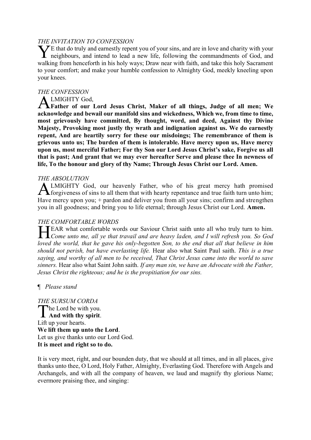#### *THE INVITATION TO CONFESSION*

 $\sum E$  that do truly and earnestly repent you of your sins, and are in love and charity with your The that do truly and earnestly repent you of your sins, and are in love and charity with your neighbours, and intend to lead a new life, following the commandments of God, and walking from henceforth in his holy ways; Draw near with faith, and take this holy Sacrament to your comfort; and make your humble confession to Almighty God, meekly kneeling upon your knees.

#### *THE CONFESSION*

#### LMIGHTY God,

**Father of our Lord Jesus Christ, Maker of all things, Judge of all men; We**  A **acknowledge and bewail our manifold sins and wickedness, Which we, from time to time, most grievously have committed, By thought, word, and deed, Against thy Divine Majesty, Provoking most justly thy wrath and indignation against us. We do earnestly repent, And are heartily sorry for these our misdoings; The remembrance of them is grievous unto us; The burden of them is intolerable. Have mercy upon us, Have mercy upon us, most merciful Father; For thy Son our Lord Jesus Christ's sake, Forgive us all that is past; And grant that we may ever hereafter Serve and please thee In newness of life, To the honour and glory of thy Name; Through Jesus Christ our Lord. Amen.** 

#### *THE ABSOLUTION*

ALMIGHTY God, our heavenly Father, who of his great mercy hath promised forgiveness of sins to all them that with hearty repentance and true faith turn unto him; forgiveness of sins to all them that with hearty repentance and true faith turn unto him; Have mercy upon you; + pardon and deliver you from all your sins; confirm and strengthen you in all goodness; and bring you to life eternal; through Jesus Christ our Lord. **Amen.**

# *THE COMFORTABLE WORDS*

EAR what comfortable words our Saviour Christ saith unto all who truly turn to him. **FEAR** what comfortable words our Saviour Christ saith unto all who truly turn to him.<br> *Come unto me, all ye that travail and are heavy laden, and I will refresh you. So God loved the world, that he gave his only-begotten Son, to the end that all that believe in him should not perish, but have everlasting life.* Hear also what Saint Paul saith. *This is a true saying, and worthy of all men to be received, That Christ Jesus came into the world to save sinners.* Hear also what Saint John saith. *If any man sin, we have an Advocate with the Father, Jesus Christ the righteous; and he is the propitiation for our sins.*

¶ *Please stand*

*THE SURSUM CORDA* The Lord be with you. The Lord be with you. Lift up your hearts. **We lift them up unto the Lord**. Let us give thanks unto our Lord God. **It is meet and right so to do.** 

It is very meet, right, and our bounden duty, that we should at all times, and in all places, give thanks unto thee, O Lord, Holy Father, Almighty, Everlasting God. Therefore with Angels and Archangels, and with all the company of heaven, we laud and magnify thy glorious Name; evermore praising thee, and singing: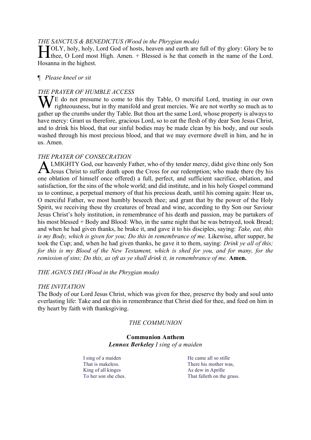#### *THE SANCTUS & BENEDICTUS (Wood in the Phrygian mode)*

**FOLY**, holy, holy, Lord God of hosts, heaven and earth are full of thy glory: Glory be to the c, O Lord most High. Amen. + Blessed is he that cometh in the name of the Lord. **Thee, O Lord most High. Amen.** + Blessed is he that cometh in the name of the Lord. Hosanna in the highest.

#### ¶ *Please kneel or sit*

#### *THE PRAYER OF HUMBLE ACCESS*

We do not presume to come to this thy Table, O merciful Lord, trusting in our own righteousness, but in thy manifold and great mercies. We are not worthy so much as to righteousness, but in thy manifold and great mercies. We are not worthy so much as to gather up the crumbs under thy Table. But thou art the same Lord, whose property is always to have mercy: Grant us therefore, gracious Lord, so to eat the flesh of thy dear Son Jesus Christ, and to drink his blood, that our sinful bodies may be made clean by his body, and our souls washed through his most precious blood, and that we may evermore dwell in him, and he in us. Amen.

# *THE PRAYER OF CONSECRATION*

LMIGHTY God, our heavenly Father, who of thy tender mercy, didst give thine only Son **ALMIGHTY God, our heavenly Father, who of thy tender mercy, didst give thine only Son**<br>Jesus Christ to suffer death upon the Cross for our redemption; who made there (by his one oblation of himself once offered) a full, perfect, and sufficient sacrifice, oblation, and satisfaction, for the sins of the whole world; and did institute, and in his holy Gospel command us to continue, a perpetual memory of that his precious death, until his coming again: Hear us, O merciful Father, we most humbly beseech thee; and grant that by the power of the Holy Spirit, we receiving these thy creatures of bread and wine, according to thy Son our Saviour Jesus Christ's holy institution, in remembrance of his death and passion, may be partakers of his most blessed + Body and Blood: Who, in the same night that he was betrayed, took Bread; and when he had given thanks, he brake it, and gave it to his disciples, saying: *Take, eat, this is my Body, which is given for you; Do this in remembrance of me.* Likewise, after supper, he took the Cup; and, when he had given thanks, he gave it to them, saying: *Drink ye all of this; for this is my Blood of the New Testament, which is shed for you, and for many, for the remission of sins; Do this, as oft as ye shall drink it, in remembrance of me.* Amen.

#### *THE AGNUS DEI (Wood in the Phrygian mode)*

#### *THE INVITATION*

The Body of our Lord Jesus Christ, which was given for thee, preserve thy body and soul unto everlasting life: Take and eat this in remembrance that Christ died for thee, and feed on him in thy heart by faith with thanksgiving.

#### *THE COMMUNION*

#### **Communion Anthem** *Lennox Berkeley I sing of a maiden*

I sing of a maiden That is makeless. King of all kinges To her son she ches.

He came all so stille There his mother was, As dew in Aprille That falleth on the grass.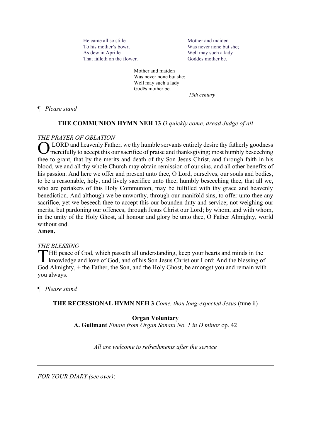He came all so stille To his mother's bowr, As dew in Aprille That falleth on the flower. Mother and maiden Was never none but she; Well may such a lady Goddes mother be.

Mother and maiden Was never none but she; Well may such a lady Godës mother be.

 *15th century*

¶ *Please stand*

# **THE COMMUNION HYMN NEH 13** *O quickly come, dread Judge of all*

# *THE PRAYER OF OBLATION*

LORD and heavenly Father, we thy humble servants entirely desire thy fatherly goodness O mercifully to accept this our sacrifice of praise and thanksgiving; most humbly beseeching thee to grant, that by the merits and death of thy Son Jesus Christ, and through faith in his blood, we and all thy whole Church may obtain remission of our sins, and all other benefits of his passion. And here we offer and present unto thee, O Lord, ourselves, our souls and bodies, to be a reasonable, holy, and lively sacrifice unto thee; humbly beseeching thee, that all we, who are partakers of this Holy Communion, may be fulfilled with thy grace and heavenly benediction. And although we be unworthy, through our manifold sins, to offer unto thee any sacrifice, yet we beseech thee to accept this our bounden duty and service; not weighing our merits, but pardoning our offences, through Jesus Christ our Lord; by whom, and with whom, in the unity of the Holy Ghost, all honour and glory be unto thee, O Father Almighty, world without end.

**Amen.** 

# *THE BLESSING*

HE peace of God, which passeth all understanding, keep your hearts and minds in the THE peace of God, which passeth all understanding, keep your hearts and minds in the knowledge and love of God, and of his Son Jesus Christ our Lord: And the blessing of God Almighty, + the Father, the Son, and the Holy Ghost, be amongst you and remain with you always.

¶ *Please stand*

**THE RECESSIONAL HYMN NEH 3** *Come, thou long-expected Jesus* (tune ii)

**Organ Voluntary**

**A. Guilmant** *Finale from Organ Sonata No. 1 in D minor* op. 42

*All are welcome to refreshments after the service*

*FOR YOUR DIARY (see over)*: